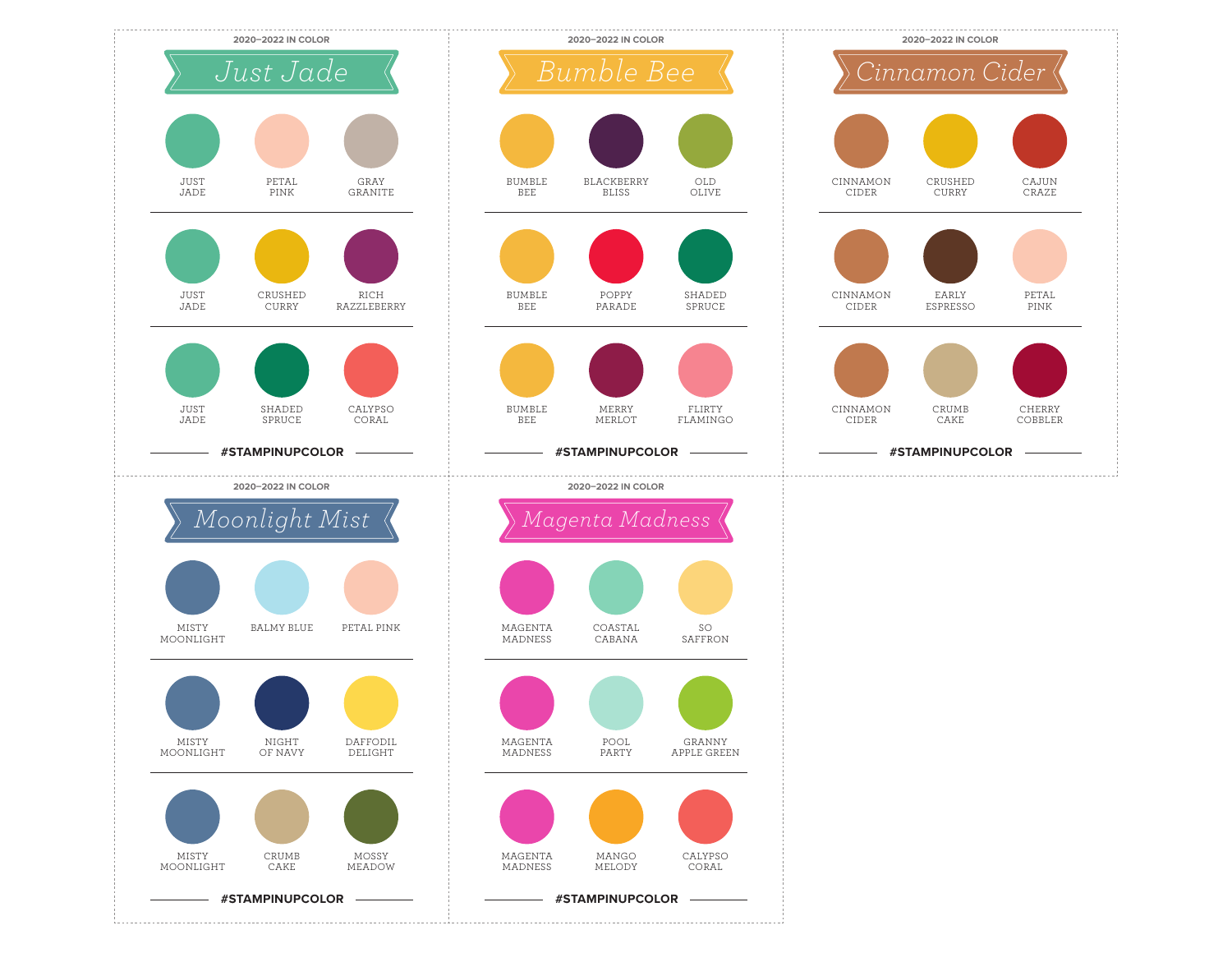